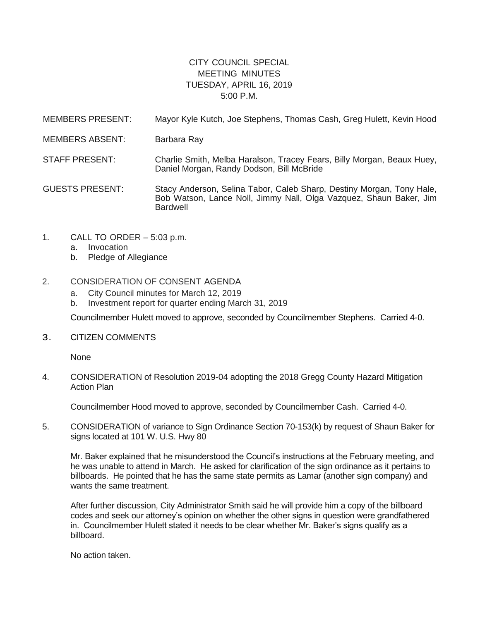## CITY COUNCIL SPECIAL MEETING MINUTES TUESDAY, APRIL 16, 2019 5:00 P.M.

MEMBERS PRESENT: Mayor Kyle Kutch, Joe Stephens, Thomas Cash, Greg Hulett, Kevin Hood MEMBERS ABSENT: Barbara Ray STAFF PRESENT: Charlie Smith, Melba Haralson, Tracey Fears, Billy Morgan, Beaux Huey, Daniel Morgan, Randy Dodson, Bill McBride GUESTS PRESENT: Stacy Anderson, Selina Tabor, Caleb Sharp, Destiny Morgan, Tony Hale, Bob Watson, Lance Noll, Jimmy Nall, Olga Vazquez, Shaun Baker, Jim Bardwell

- 1. CALL TO ORDER 5:03 p.m.
	- a. Invocation
	- b. Pledge of Allegiance

## 2. CONSIDERATION OF CONSENT AGENDA

- a. City Council minutes for March 12, 2019
- b. Investment report for quarter ending March 31, 2019

Councilmember Hulett moved to approve, seconded by Councilmember Stephens. Carried 4-0.

3. CITIZEN COMMENTS

**None** 

4. CONSIDERATION of Resolution 2019-04 adopting the 2018 Gregg County Hazard Mitigation Action Plan

Councilmember Hood moved to approve, seconded by Councilmember Cash. Carried 4-0.

5. CONSIDERATION of variance to Sign Ordinance Section 70-153(k) by request of Shaun Baker for signs located at 101 W. U.S. Hwy 80

Mr. Baker explained that he misunderstood the Council's instructions at the February meeting, and he was unable to attend in March. He asked for clarification of the sign ordinance as it pertains to billboards. He pointed that he has the same state permits as Lamar (another sign company) and wants the same treatment.

After further discussion, City Administrator Smith said he will provide him a copy of the billboard codes and seek our attorney's opinion on whether the other signs in question were grandfathered in. Councilmember Hulett stated it needs to be clear whether Mr. Baker's signs qualify as a billboard.

No action taken.